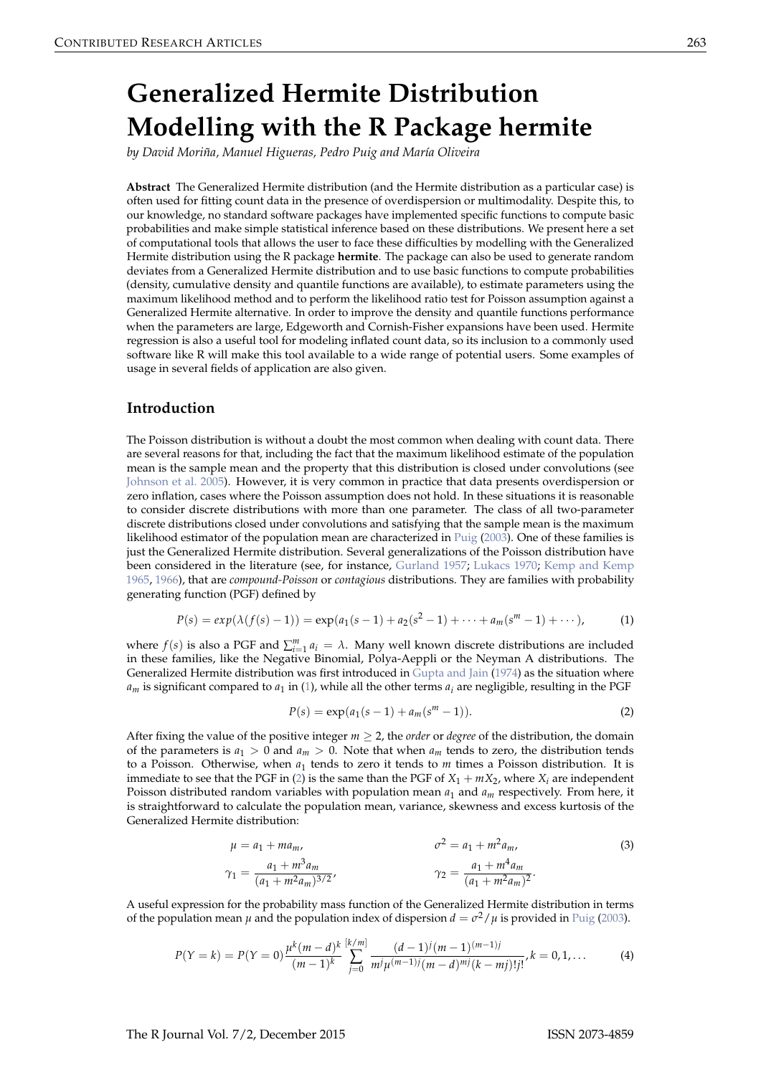# <span id="page-0-4"></span>**Generalized Hermite Distribution Modelling with the R Package hermite**

*by David Moriña, Manuel Higueras, Pedro Puig and María Oliveira*

**Abstract** The Generalized Hermite distribution (and the Hermite distribution as a particular case) is often used for fitting count data in the presence of overdispersion or multimodality. Despite this, to our knowledge, no standard software packages have implemented specific functions to compute basic probabilities and make simple statistical inference based on these distributions. We present here a set of computational tools that allows the user to face these difficulties by modelling with the Generalized Hermite distribution using the R package **hermite**. The package can also be used to generate random deviates from a Generalized Hermite distribution and to use basic functions to compute probabilities (density, cumulative density and quantile functions are available), to estimate parameters using the maximum likelihood method and to perform the likelihood ratio test for Poisson assumption against a Generalized Hermite alternative. In order to improve the density and quantile functions performance when the parameters are large, Edgeworth and Cornish-Fisher expansions have been used. Hermite regression is also a useful tool for modeling inflated count data, so its inclusion to a commonly used software like R will make this tool available to a wide range of potential users. Some examples of usage in several fields of application are also given.

## <span id="page-0-3"></span>**Introduction**

The Poisson distribution is without a doubt the most common when dealing with count data. There are several reasons for that, including the fact that the maximum likelihood estimate of the population mean is the sample mean and the property that this distribution is closed under convolutions (see [Johnson et al.](#page-11-0) [2005\)](#page-11-0). However, it is very common in practice that data presents overdispersion or zero inflation, cases where the Poisson assumption does not hold. In these situations it is reasonable to consider discrete distributions with more than one parameter. The class of all two-parameter discrete distributions closed under convolutions and satisfying that the sample mean is the maximum likelihood estimator of the population mean are characterized in [Puig](#page-11-1) [\(2003\)](#page-11-1). One of these families is just the Generalized Hermite distribution. Several generalizations of the Poisson distribution have been considered in the literature (see, for instance, [Gurland](#page-10-0) [1957;](#page-10-0) [Lukacs](#page-11-2) [1970;](#page-11-2) [Kemp and Kemp](#page-11-3) [1965,](#page-11-3) [1966\)](#page-11-4), that are *compound-Poisson* or *contagious* distributions. They are families with probability generating function (PGF) defined by

$$
P(s) = exp(\lambda(f(s) - 1)) = exp(a_1(s - 1) + a_2(s^2 - 1) + \dots + a_m(s^m - 1) + \dots),
$$
 (1)

where  $f(s)$  is also a PGF and  $\sum_{i=1}^{m} a_i = \lambda$ . Many well known discrete distributions are included in these families, like the Negative Binomial, Polya-Aeppli or the Neyman A distributions. The Generalized Hermite distribution was first introduced in [Gupta and Jain](#page-10-1) [\(1974\)](#page-10-1) as the situation where  $a_m$  is significant compared to  $a_1$  in [\(1\)](#page-0-0), while all the other terms  $a_i$  are negligible, resulting in the PGF

<span id="page-0-2"></span><span id="page-0-1"></span><span id="page-0-0"></span>
$$
P(s) = \exp(a_1(s-1) + a_m(s^m - 1)).
$$
\n(2)

After fixing the value of the positive integer  $m \geq 2$ , the *order* or *degree* of the distribution, the domain of the parameters is  $a_1 > 0$  and  $a_m > 0$ . Note that when  $a_m$  tends to zero, the distribution tends to a Poisson. Otherwise, when  $a_1$  tends to zero it tends to *m* times a Poisson distribution. It is immediate to see that the PGF in [\(2\)](#page-0-1) is the same than the PGF of  $X_1 + mX_2$ , where  $X_i$  are independent Poisson distributed random variables with population mean *a*<sup>1</sup> and *a<sup>m</sup>* respectively. From here, it is straightforward to calculate the population mean, variance, skewness and excess kurtosis of the Generalized Hermite distribution:

$$
\mu = a_1 + m a_m, \qquad \sigma^2 = a_1 + m^2 a_m, \qquad (3)
$$

$$
\gamma_1 = \frac{a_1 + m^3 a_m}{(a_1 + m^2 a_m)^{3/2}}, \qquad \gamma_2 = \frac{a_1 + m^4 a_m}{(a_1 + m^2 a_m)^2}.
$$

A useful expression for the probability mass function of the Generalized Hermite distribution in terms of the population mean  $\mu$  and the population index of dispersion  $d = \sigma^2 / \mu$  is provided in [Puig](#page-11-1) [\(2003\)](#page-11-1).

$$
P(Y = k) = P(Y = 0) \frac{\mu^{k}(m - d)^{k}}{(m - 1)^{k}} \sum_{j=0}^{\lfloor k/m \rfloor} \frac{(d - 1)^{j}(m - 1)^{(m - 1)j}}{m^{j}\mu^{(m - 1)j}(m - d)^{mj}(k - mj)!j!}, k = 0, 1, ... \tag{4}
$$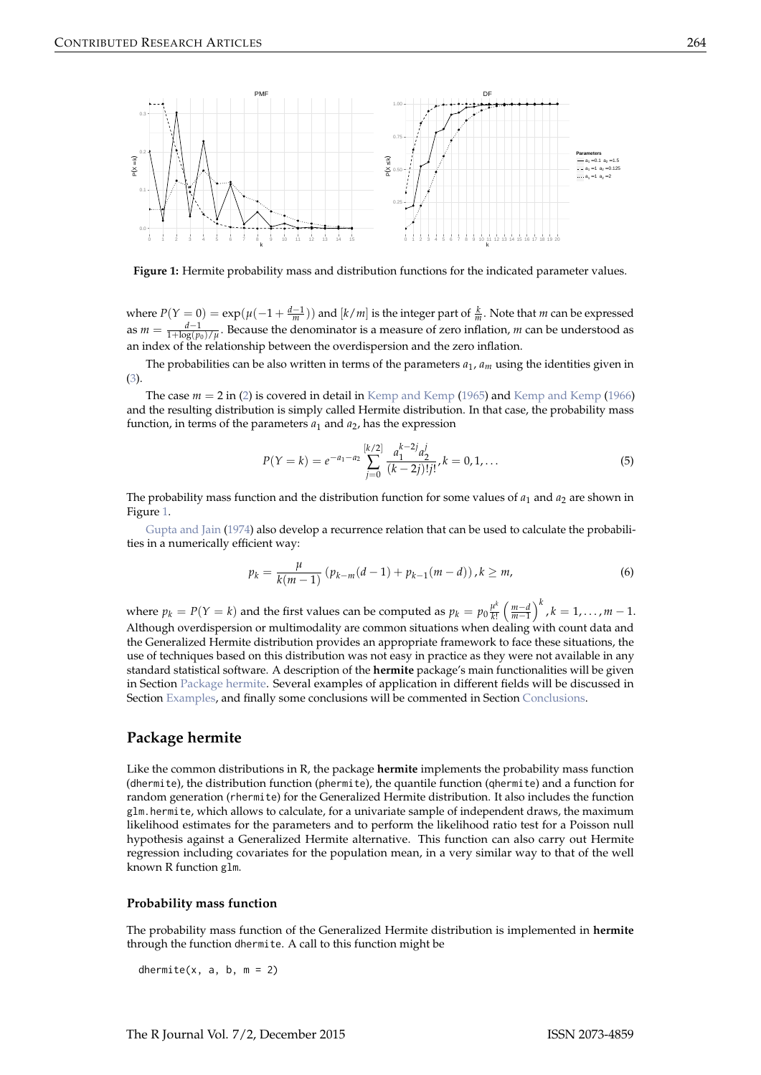<span id="page-1-4"></span><span id="page-1-0"></span>

**Figure 1:** Hermite probability mass and distribution functions for the indicated parameter values.

where  $P(Y = 0) = \exp(\mu(-1 + \frac{d-1}{m}))$  and  $[k/m]$  is the integer part of  $\frac{k}{m}$ . Note that *m* can be expressed as  $m = \frac{d-1}{1+\log(p_0)/\mu}$ . Because the denominator is a measure of zero inflation, *m* can be understood as an index of the relationship between the overdispersion and the zero inflation.

The probabilities can be also written in terms of the parameters *a*<sup>1</sup> , *am* using the identities given in [\(3\)](#page-0-2).

The case  $m = 2$  in [\(2\)](#page-0-1) is covered in detail in [Kemp and Kemp](#page-11-4) [\(1965\)](#page-11-3) and Kemp and Kemp [\(1966\)](#page-11-4) and the resulting distribution is simply called Hermite distribution. In that case, the probability mass function, in terms of the parameters  $a_1$  and  $a_2$ , has the expression

$$
P(Y = k) = e^{-a_1 - a_2} \sum_{j=0}^{\lfloor k/2 \rfloor} \frac{a_1^{k-2j} a_2^j}{(k-2j)!j!}, k = 0, 1, ...
$$
 (5)

The probability mass function and the distribution function for some values of  $a_1$  and  $a_2$  are shown in Figure [1.](#page-1-0)

[Gupta and Jain](#page-10-1) [\(1974\)](#page-10-1) also develop a recurrence relation that can be used to calculate the probabilities in a numerically efficient way:

<span id="page-1-2"></span>
$$
p_k = \frac{\mu}{k(m-1)} \left( p_{k-m}(d-1) + p_{k-1}(m-d) \right), k \ge m,
$$
\n(6)

where  $p_k = P(Y = k)$  and the first values can be computed as  $p_k = p_0 \frac{\mu^k}{k!}$  $\frac{\mu^k}{k!}$   $\left(\frac{m-d}{m-1}\right)$  $\int^k$ ,  $k = 1, \ldots, m - 1$ . Although overdispersion or multimodality are common situations when dealing with count data and the Generalized Hermite distribution provides an appropriate framework to face these situations, the use of techniques based on this distribution was not easy in practice as they were not available in any standard statistical software. A description of the **hermite** package's main functionalities will be given in Section [Package hermite.](#page-1-1) Several examples of application in different fields will be discussed in Section [Examples,](#page-5-0) and finally some conclusions will be commented in Section [Conclusions.](#page-10-2)

## <span id="page-1-1"></span>**Package hermite**

Like the common distributions in R, the package **hermite** implements the probability mass function (dhermite), the distribution function (phermite), the quantile function (qhermite) and a function for random generation (rhermite) for the Generalized Hermite distribution. It also includes the function glm.hermite, which allows to calculate, for a univariate sample of independent draws, the maximum likelihood estimates for the parameters and to perform the likelihood ratio test for a Poisson null hypothesis against a Generalized Hermite alternative. This function can also carry out Hermite regression including covariates for the population mean, in a very similar way to that of the well known R function glm.

## <span id="page-1-3"></span>**Probability mass function**

The probability mass function of the Generalized Hermite distribution is implemented in **hermite** through the function dhermite. A call to this function might be

dhermite(x, a, b,  $m = 2$ )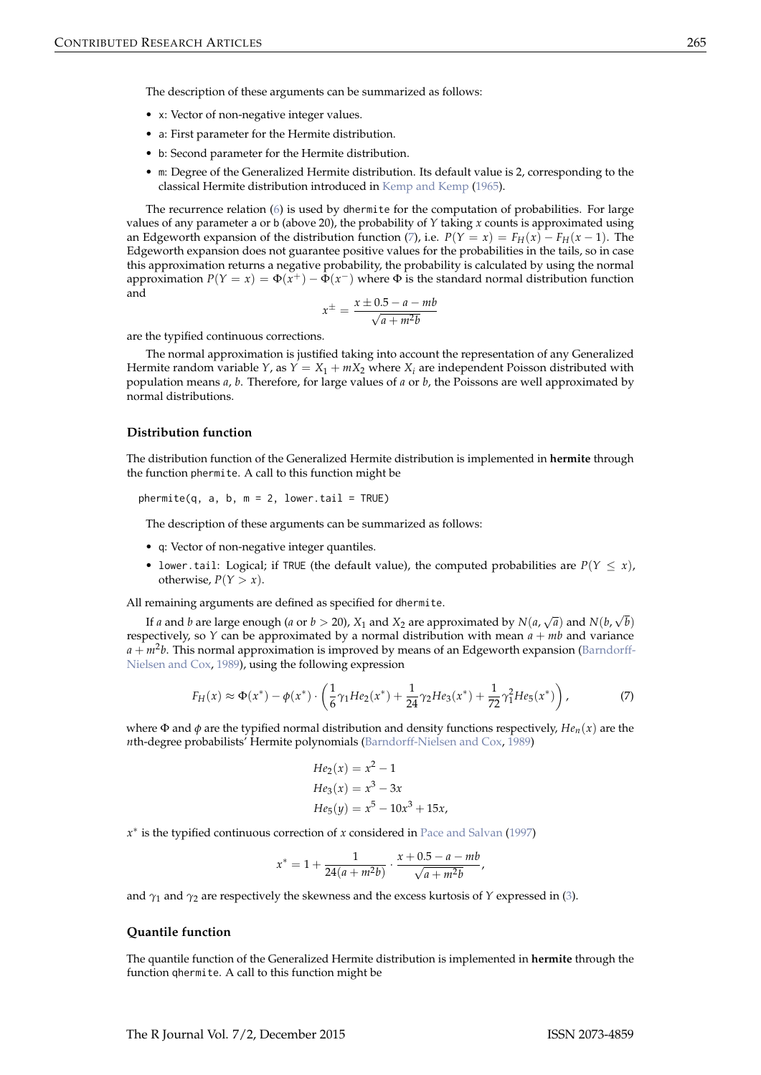<span id="page-2-1"></span>The description of these arguments can be summarized as follows:

- x: Vector of non-negative integer values.
- a: First parameter for the Hermite distribution.
- b: Second parameter for the Hermite distribution.
- m: Degree of the Generalized Hermite distribution. Its default value is 2, corresponding to the classical Hermite distribution introduced in [Kemp and Kemp](#page-11-3) [\(1965\)](#page-11-3).

The recurrence relation [\(6\)](#page-1-2) is used by dhermite for the computation of probabilities. For large values of any parameter a or b (above 20), the probability of *Y* taking *x* counts is approximated using an Edgeworth expansion of the distribution function [\(7\)](#page-2-0), i.e.  $P(Y = x) = F_H(x) - F_H(x-1)$ . The Edgeworth expansion does not guarantee positive values for the probabilities in the tails, so in case this approximation returns a negative probability, the probability is calculated by using the normal approximation  $P(Y = x) = \Phi(x^+) - \Phi(x^-)$  where  $\Phi$  is the standard normal distribution function and

$$
x^{\pm} = \frac{x \pm 0.5 - a - mb}{\sqrt{a + m^2 b}}
$$

are the typified continuous corrections.

The normal approximation is justified taking into account the representation of any Generalized Hermite random variable *Y*, as  $Y = X_1 + mX_2$  where  $X_i$  are independent Poisson distributed with population means *a*, *b*. Therefore, for large values of *a* or *b*, the Poissons are well approximated by normal distributions.

#### **Distribution function**

The distribution function of the Generalized Hermite distribution is implemented in **hermite** through the function phermite. A call to this function might be

 $phermite(q, a, b, m = 2, lower$ **tail = TRUE)** 

The description of these arguments can be summarized as follows:

- q: Vector of non-negative integer quantiles.
- lower.tail: Logical; if TRUE (the default value), the computed probabilities are  $P(Y \leq x)$ , otherwise,  $P(Y > x)$ .

All remaining arguments are defined as specified for dhermite.

If *a* and *b* are large enough (*a* or  $b > 20$ ),  $X_1$  and  $X_2$  are approximated by  $N(a,\sqrt{a})$  and  $N(b,\sqrt{b})$ respectively, so *Y* can be approximated by a normal distribution with mean  $a + mb$  and variance *a* + *m*<sup>2</sup> *b*. This normal approximation is improved by means of an Edgeworth expansion [\(Barndorff-](#page-10-3)[Nielsen and Cox,](#page-10-3) [1989\)](#page-10-3), using the following expression

$$
F_H(x) \approx \Phi(x^*) - \phi(x^*) \cdot \left(\frac{1}{6}\gamma_1 H e_2(x^*) + \frac{1}{24}\gamma_2 H e_3(x^*) + \frac{1}{72}\gamma_1^2 H e_5(x^*)\right),\tag{7}
$$

where  $\Phi$  and  $\phi$  are the typified normal distribution and density functions respectively,  $He_n(x)$  are the *n*th-degree probabilists' Hermite polynomials [\(Barndorff-Nielsen and Cox,](#page-10-3) [1989\)](#page-10-3)

<span id="page-2-0"></span>
$$
He_2(x) = x^2 - 1
$$
  
\n
$$
He_3(x) = x^3 - 3x
$$
  
\n
$$
He_5(y) = x^5 - 10x^3 + 15x
$$

*x* ∗ is the typified continuous correction of *x* considered in [Pace and Salvan](#page-11-5) [\(1997\)](#page-11-5)

$$
x^* = 1 + \frac{1}{24(a+m^2b)} \cdot \frac{x + 0.5 - a - mb}{\sqrt{a+m^2b}},
$$

and  $\gamma_1$  and  $\gamma_2$  are respectively the skewness and the excess kurtosis of *Y* expressed in [\(3\)](#page-0-2).

## **Quantile function**

The quantile function of the Generalized Hermite distribution is implemented in **hermite** through the function qhermite. A call to this function might be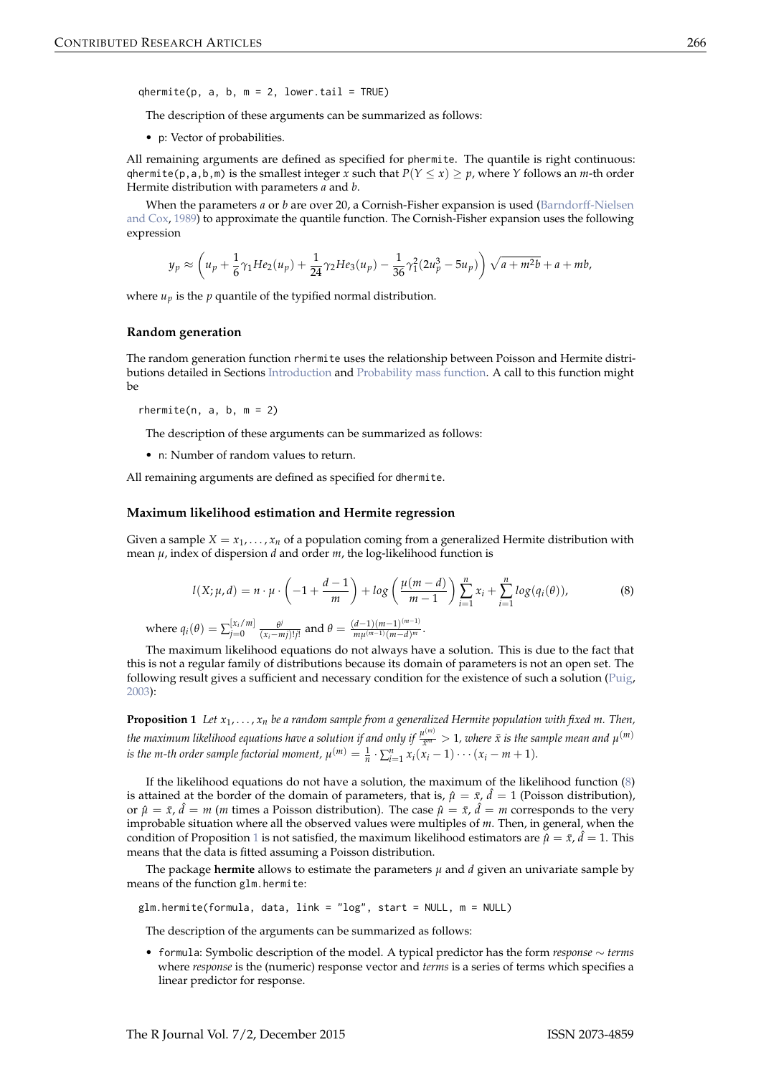<span id="page-3-2"></span> $q$ hermite(p, a, b, m = 2, lower.tail = TRUE)

The description of these arguments can be summarized as follows:

• p: Vector of probabilities.

All remaining arguments are defined as specified for phermite. The quantile is right continuous: qhermite(p, a, b, m) is the smallest integer *x* such that  $P(Y \le x) \ge p$ , where *Y* follows an *m*-th order Hermite distribution with parameters *a* and *b*.

When the parameters *a* or *b* are over 20, a Cornish-Fisher expansion is used [\(Barndorff-Nielsen](#page-10-3) [and Cox,](#page-10-3) [1989\)](#page-10-3) to approximate the quantile function. The Cornish-Fisher expansion uses the following expression

$$
y_p \approx \left(u_p + \frac{1}{6}\gamma_1 H e_2(u_p) + \frac{1}{24}\gamma_2 H e_3(u_p) - \frac{1}{36}\gamma_1^2 (2u_p^3 - 5u_p)\right)\sqrt{a + m^2b} + a + mb,
$$

where  $u_p$  is the  $p$  quantile of the typified normal distribution.

#### **Random generation**

The random generation function rhermite uses the relationship between Poisson and Hermite distributions detailed in Sections [Introduction](#page-0-3) and [Probability mass function.](#page-1-3) A call to this function might be

rhermite( $n, a, b, m = 2$ )

The description of these arguments can be summarized as follows:

• n: Number of random values to return.

All remaining arguments are defined as specified for dhermite.

#### **Maximum likelihood estimation and Hermite regression**

<span id="page-3-0"></span>Given a sample  $X = x_1, \ldots, x_n$  of a population coming from a generalized Hermite distribution with mean *µ*, index of dispersion *d* and order *m*, the log-likelihood function is

$$
l(X; \mu, d) = n \cdot \mu \cdot \left( -1 + \frac{d-1}{m} \right) + \log \left( \frac{\mu(m-d)}{m-1} \right) \sum_{i=1}^{n} x_i + \sum_{i=1}^{n} \log(q_i(\theta)), \tag{8}
$$

where  $q_i(\theta) = \sum_{j=0}^{[x_i/m]} \frac{\theta^j}{(x_i - n)^j}$  $\frac{\theta^j}{(x_i - mj)!j!}$  and  $\theta = \frac{(d-1)(m-1)^{(m-1)}}{mμ^{(m-1)}(m-d)^m}$  $\frac{u^{m-1}(m-1)}{m\mu^{(m-1)}(m-d)^m}$ .

The maximum likelihood equations do not always have a solution. This is due to the fact that this is not a regular family of distributions because its domain of parameters is not an open set. The following result gives a sufficient and necessary condition for the existence of such a solution [\(Puig,](#page-11-1) [2003\)](#page-11-1):

<span id="page-3-1"></span>**Proposition 1** *Let x*<sup>1</sup> , . . . , *xn be a random sample from a generalized Hermite population with fixed m. Then, the maximum likelihood equations have a solution if and only if*  $\frac{\mu^{(m)}}{x^m}>1$ *, where*  $\bar{x}$  *is the sample mean and*  $\mu^{(m)}$ *is the m-th order sample factorial moment,*  $\mu^{(m)} = \frac{1}{n} \cdot \sum_{i=1}^{n} x_i (x_i - 1) \cdots (x_i - m + 1)$ .

If the likelihood equations do not have a solution, the maximum of the likelihood function [\(8\)](#page-3-0) is attained at the border of the domain of parameters, that is,  $\hat{\mu} = \bar{x}$ ,  $\hat{d} = 1$  (Poisson distribution), or  $\hat{\mu} = \bar{x}$ ,  $\hat{d} = m$  (*m* times a Poisson distribution). The case  $\hat{\mu} = \bar{x}$ ,  $\hat{d} = m$  corresponds to the very improbable situation where all the observed values were multiples of *m*. Then, in general, when the condition of Proposition [1](#page-3-1) is not satisfied, the maximum likelihood estimators are  $\hat{\mu} = \bar{x}$ ,  $\hat{d} = 1$ . This means that the data is fitted assuming a Poisson distribution.

The package **hermite** allows to estimate the parameters  $\mu$  and  $d$  given an univariate sample by means of the function glm.hermite:

glm.hermite(formula, data, link = "log", start = NULL, m = NULL)

The description of the arguments can be summarized as follows:

• formula: Symbolic description of the model. A typical predictor has the form *response* ∼ *terms* where *response* is the (numeric) response vector and *terms* is a series of terms which specifies a linear predictor for response.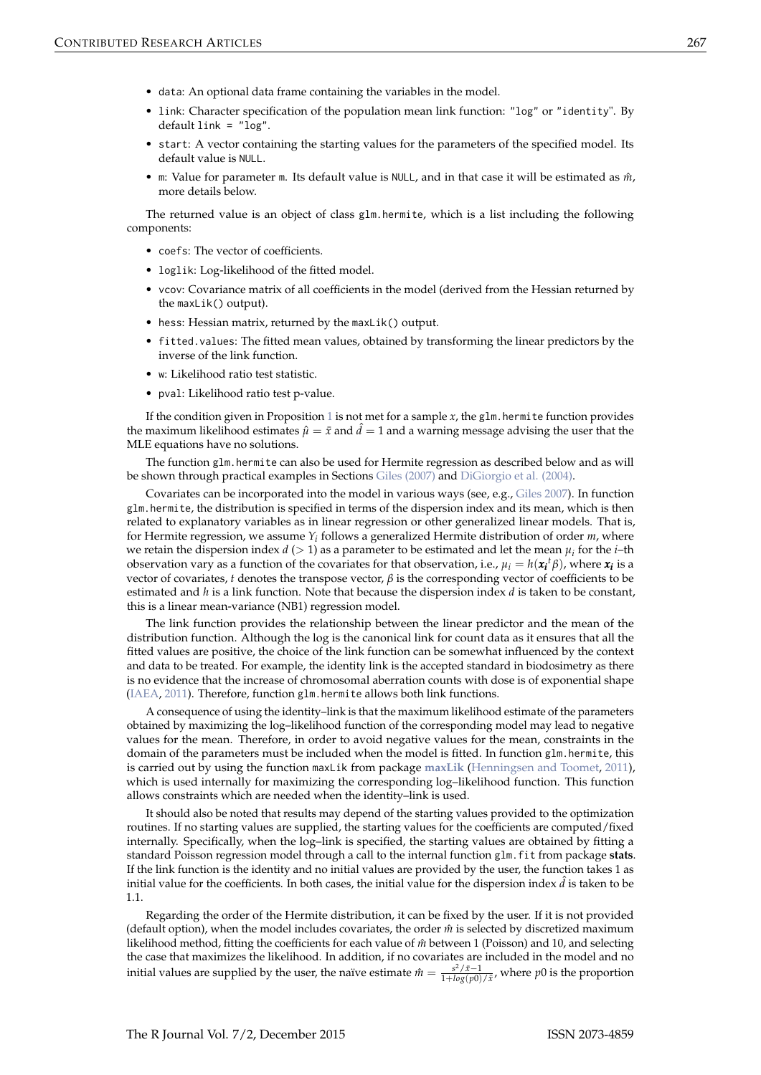- <span id="page-4-0"></span>• data: An optional data frame containing the variables in the model.
- link: Character specification of the population mean link function: "log" or "identity". By default link = "log".
- start: A vector containing the starting values for the parameters of the specified model. Its default value is NULL.
- $\bullet$  m: Value for parameter m. Its default value is NULL, and in that case it will be estimated as  $\hat{m}$ , more details below.

The returned value is an object of class glm.hermite, which is a list including the following components:

- coefs: The vector of coefficients.
- loglik: Log-likelihood of the fitted model.
- vcov: Covariance matrix of all coefficients in the model (derived from the Hessian returned by the maxLik() output).
- hess: Hessian matrix, returned by the maxLik() output.
- fitted.values: The fitted mean values, obtained by transforming the linear predictors by the inverse of the link function.
- w: Likelihood ratio test statistic.
- pval: Likelihood ratio test p-value.

If the condition given in Proposition [1](#page-3-1) is not met for a sample  $x$ , the glm. hermite function provides the maximum likelihood estimates  $\hat{\mu} = \bar{x}$  and  $\hat{d} = 1$  and a warning message advising the user that the MLE equations have no solutions.

The function glm.hermite can also be used for Hermite regression as described below and as will be shown through practical examples in Sections [Giles \(2007\)](#page-6-0) and [DiGiorgio et al. \(2004\).](#page-7-0)

Covariates can be incorporated into the model in various ways (see, e.g., [Giles](#page-10-4) [2007\)](#page-10-4). In function glm.hermite, the distribution is specified in terms of the dispersion index and its mean, which is then related to explanatory variables as in linear regression or other generalized linear models. That is, for Hermite regression, we assume *Y<sup>i</sup>* follows a generalized Hermite distribution of order *m*, where we retain the dispersion index  $d$  ( $> 1$ ) as a parameter to be estimated and let the mean  $\mu_i$  for the *i*–th observation vary as a function of the covariates for that observation, i.e.,  $\mu_i = h(\pmb{x_i}^t\beta)$ , where  $\pmb{x_i}$  is a vector of covariates, *t* denotes the transpose vector,  $\beta$  is the corresponding vector of coefficients to be estimated and *h* is a link function. Note that because the dispersion index *d* is taken to be constant, this is a linear mean-variance (NB1) regression model.

The link function provides the relationship between the linear predictor and the mean of the distribution function. Although the log is the canonical link for count data as it ensures that all the fitted values are positive, the choice of the link function can be somewhat influenced by the context and data to be treated. For example, the identity link is the accepted standard in biodosimetry as there is no evidence that the increase of chromosomal aberration counts with dose is of exponential shape [\(IAEA,](#page-11-6) [2011\)](#page-11-6). Therefore, function glm.hermite allows both link functions.

A consequence of using the identity–link is that the maximum likelihood estimate of the parameters obtained by maximizing the log–likelihood function of the corresponding model may lead to negative values for the mean. Therefore, in order to avoid negative values for the mean, constraints in the domain of the parameters must be included when the model is fitted. In function glm.hermite, this is carried out by using the function maxLik from package **[maxLik](https://CRAN.R-project.org/package=maxLik)** [\(Henningsen and Toomet,](#page-10-5) [2011\)](#page-10-5), which is used internally for maximizing the corresponding log–likelihood function. This function allows constraints which are needed when the identity–link is used.

It should also be noted that results may depend of the starting values provided to the optimization routines. If no starting values are supplied, the starting values for the coefficients are computed/fixed internally. Specifically, when the log–link is specified, the starting values are obtained by fitting a standard Poisson regression model through a call to the internal function glm.fit from package **stats**. If the link function is the identity and no initial values are provided by the user, the function takes 1 as initial value for the coefficients. In both cases, the initial value for the dispersion index  $\hat{d}$  is taken to be 1.1.

Regarding the order of the Hermite distribution, it can be fixed by the user. If it is not provided (default option), when the model includes covariates, the order *m*ˆ is selected by discretized maximum likelihood method, fitting the coefficients for each value of  $\hat{m}$  between 1 (Poisson) and 10, and selecting the case that maximizes the likelihood. In addition, if no covariates are included in the model and no initial values are supplied by the user, the naïve estimate  $\hat{m} = \frac{s^2/\bar{x}-1}{1+log(p0)/\bar{x}}$ , where *p*0 is the proportion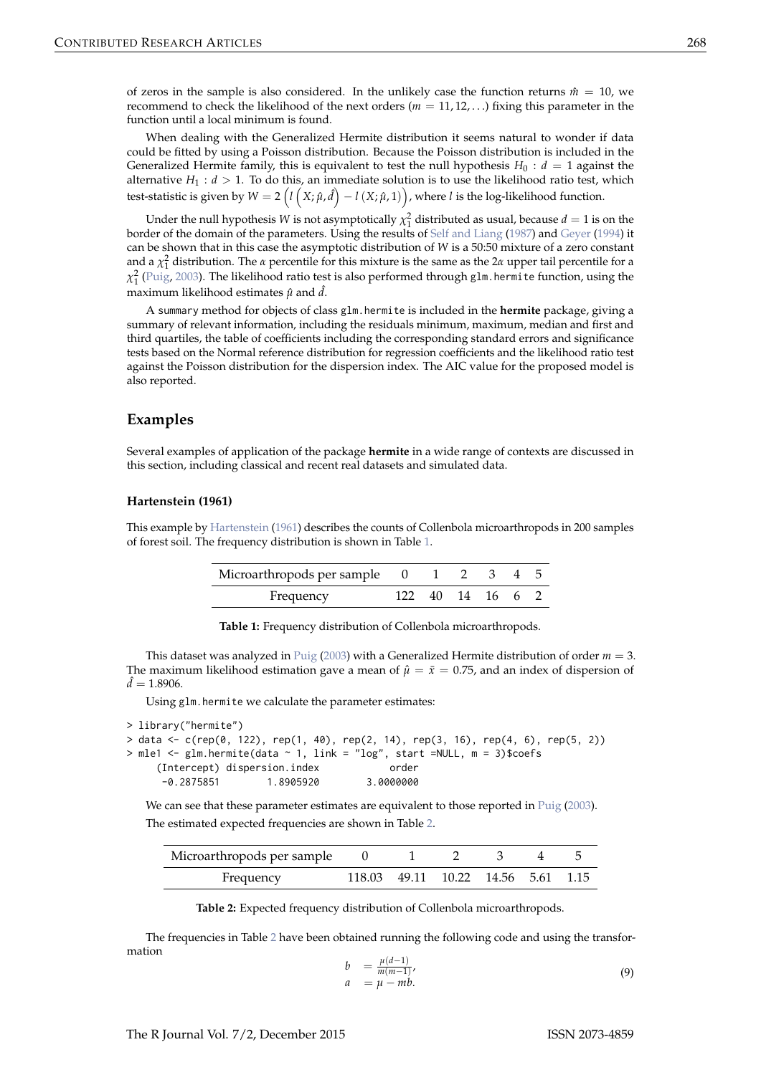<span id="page-5-3"></span>of zeros in the sample is also considered. In the unlikely case the function returns  $\hat{m} = 10$ , we recommend to check the likelihood of the next orders ( $m = 11, 12, \ldots$ ) fixing this parameter in the function until a local minimum is found.

When dealing with the Generalized Hermite distribution it seems natural to wonder if data could be fitted by using a Poisson distribution. Because the Poisson distribution is included in the Generalized Hermite family, this is equivalent to test the null hypothesis  $H_0 : d = 1$  against the alternative  $H_1: d > 1$ . To do this, an immediate solution is to use the likelihood ratio test, which test-statistic is given by  $W=2\left(l\left(X;\hat{\mu},\hat{d}\right)-l\left(X;\hat{\mu},1\right)\right)$ , where  $l$  is the log-likelihood function.

Under the null hypothesis *W* is not asymptotically  $\chi_1^2$  distributed as usual, because  $d = 1$  is on the border of the domain of the parameters. Using the results of [Self and Liang](#page-11-7) [\(1987\)](#page-11-7) and [Geyer](#page-10-6) [\(1994\)](#page-10-6) it can be shown that in this case the asymptotic distribution of *W* is a 50:50 mixture of a zero constant and a  $\chi^2$  distribution. The *α* percentile for this mixture is the same as the 2*α* upper tail percentile for a *χ*<sup>2</sup> [\(Puig,](#page-11-1) [2003\)](#page-11-1). The likelihood ratio test is also performed through glm.hermite function, using the maximum likelihood estimates  $\hat{\mu}$  and  $\hat{d}$ .

A summary method for objects of class glm.hermite is included in the **hermite** package, giving a summary of relevant information, including the residuals minimum, maximum, median and first and third quartiles, the table of coefficients including the corresponding standard errors and significance tests based on the Normal reference distribution for regression coefficients and the likelihood ratio test against the Poisson distribution for the dispersion index. The AIC value for the proposed model is also reported.

## <span id="page-5-0"></span>**Examples**

Several examples of application of the package **hermite** in a wide range of contexts are discussed in this section, including classical and recent real datasets and simulated data.

#### **Hartenstein (1961)**

<span id="page-5-1"></span>This example by [Hartenstein](#page-10-7) [\(1961\)](#page-10-7) describes the counts of Collenbola microarthropods in 200 samples of forest soil. The frequency distribution is shown in Table [1.](#page-5-1)

| Microarthropods per sample 0 1 2 3 4 5 |  |                  |  |  |
|----------------------------------------|--|------------------|--|--|
| Frequency                              |  | 122 40 14 16 6 2 |  |  |

**Table 1:** Frequency distribution of Collenbola microarthropods.

This dataset was analyzed in [Puig](#page-11-1) [\(2003\)](#page-11-1) with a Generalized Hermite distribution of order *m* = 3. The maximum likelihood estimation gave a mean of  $\hat{\mu} = \bar{x} = 0.75$ , and an index of dispersion of  $\hat{d} = 1.8906$ .

Using glm.hermite we calculate the parameter estimates:

```
> library("hermite")
> data <- c(rep(0, 122), rep(1, 40), rep(2, 14), rep(3, 16), rep(4, 6), rep(5, 2))
> mle1 <- glm.hermite(data ~ 1, link = "log", start =NULL, m = 3)$coefs
    (Intercept) dispersion.index order
     -0.2875851 1.8905920 3.0000000
```
We can see that these parameter estimates are equivalent to those reported in [Puig](#page-11-1) [\(2003\)](#page-11-1). The estimated expected frequencies are shown in Table [2.](#page-5-2)

<span id="page-5-2"></span>

| Microarthropods per sample |                                    |  |  |  |
|----------------------------|------------------------------------|--|--|--|
| Frequency                  | 118.03 49.11 10.22 14.56 5.61 1.15 |  |  |  |

**Table 2:** Expected frequency distribution of Collenbola microarthropods.

The frequencies in Table [2](#page-5-2) have been obtained running the following code and using the transformation

$$
b = \frac{\mu(d-1)}{m(m-1)}, a = \mu - mb.
$$
 (9)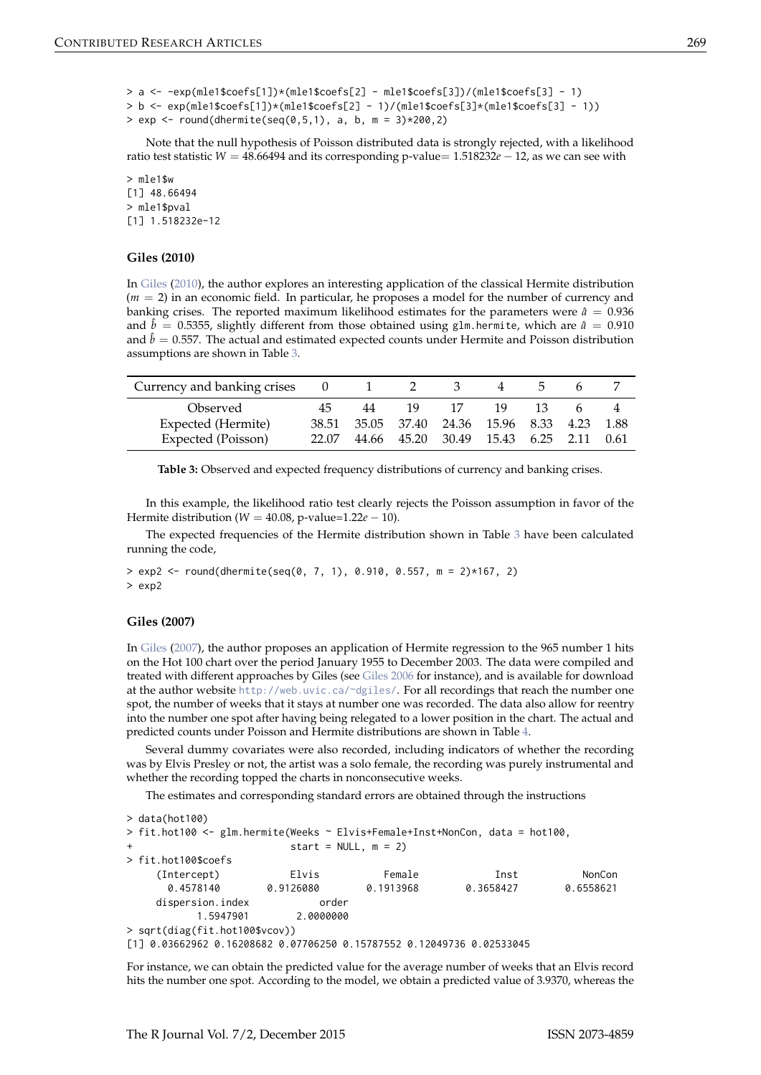```
> a <- -exp(mle1$coefs[1])*(mle1$coefs[2] - mle1$coefs[3])/(mle1$coefs[3] - 1)
> b <- exp(mle1$coefs[1])*(mle1$coefs[2] - 1)/(mle1$coefs[3]*(mle1$coefs[3] - 1))
> exp <- round(dhermite(seq(0,5,1), a, b, m = 3)*200,2)
```
Note that the null hypothesis of Poisson distributed data is strongly rejected, with a likelihood ratio test statistic *W* = 48.66494 and its corresponding p-value= 1.518232*e* − 12, as we can see with

> mle1\$w [1] 48.66494 > mle1\$pval [1] 1.518232e-12

## **Giles (2010)**

In [Giles](#page-10-8) [\(2010\)](#page-10-8), the author explores an interesting application of the classical Hermite distribution (*m* = 2) in an economic field. In particular, he proposes a model for the number of currency and banking crises. The reported maximum likelihood estimates for the parameters were  $\hat{a} = 0.936$ and  $\hat{b} = 0.5355$ , slightly different from those obtained using glm.hermite, which are  $\hat{a} = 0.910$ and  $\hat{b} = 0.557$ . The actual and estimated expected counts under Hermite and Poisson distribution assumptions are shown in Table [3.](#page-6-1)

<span id="page-6-1"></span>

| Currency and banking crises | U     |    |                                         |    |     |     |        |
|-----------------------------|-------|----|-----------------------------------------|----|-----|-----|--------|
| Observed                    | 45    | 44 | 19                                      | 17 | 19. | 13. |        |
| Expected (Hermite)          |       |    | 38.51 35.05 37.40 24.36 15.96 8.33 4.23 |    |     |     | - 1.88 |
| Expected (Poisson)          | 22.07 |    | 44.66 45.20 30.49 15.43 6.25 2.11       |    |     |     | (0.61) |

**Table 3:** Observed and expected frequency distributions of currency and banking crises.

In this example, the likelihood ratio test clearly rejects the Poisson assumption in favor of the Hermite distribution (*W* = 40.08, p-value=1.22*e* − 10).

The expected frequencies of the Hermite distribution shown in Table [3](#page-6-1) have been calculated running the code,

 $>$  exp2 <- round(dhermite(seq(0, 7, 1), 0.910, 0.557, m = 2)\*167, 2) > exp2

## <span id="page-6-0"></span>**Giles (2007)**

In [Giles](#page-10-4) [\(2007\)](#page-10-4), the author proposes an application of Hermite regression to the 965 number 1 hits on the Hot 100 chart over the period January 1955 to December 2003. The data were compiled and treated with different approaches by Giles (see [Giles](#page-10-9) [2006](#page-10-9) for instance), and is available for download at the author website <http://web.uvic.ca/~dgiles/>. For all recordings that reach the number one spot, the number of weeks that it stays at number one was recorded. The data also allow for reentry into the number one spot after having being relegated to a lower position in the chart. The actual and predicted counts under Poisson and Hermite distributions are shown in Table [4.](#page-7-1)

Several dummy covariates were also recorded, including indicators of whether the recording was by Elvis Presley or not, the artist was a solo female, the recording was purely instrumental and whether the recording topped the charts in nonconsecutive weeks.

The estimates and corresponding standard errors are obtained through the instructions

```
> data(hot100)
> fit.hot100 <- glm.hermite(Weeks ~ Elvis+Female+Inst+NonCon, data = hot100,
                      start = NULL, m = 2)> fit.hot100$coefs
    (Intercept) Elvis Female Inst NonCon
     0.4578140 0.9126080 0.1913968 0.3658427 0.6558621
   dispersion.index order
         1.5947901 2.0000000
> sqrt(diag(fit.hot100$vcov))
[1] 0.03662962 0.16208682 0.07706250 0.15787552 0.12049736 0.02533045
```
For instance, we can obtain the predicted value for the average number of weeks that an Elvis record hits the number one spot. According to the model, we obtain a predicted value of 3.9370, whereas the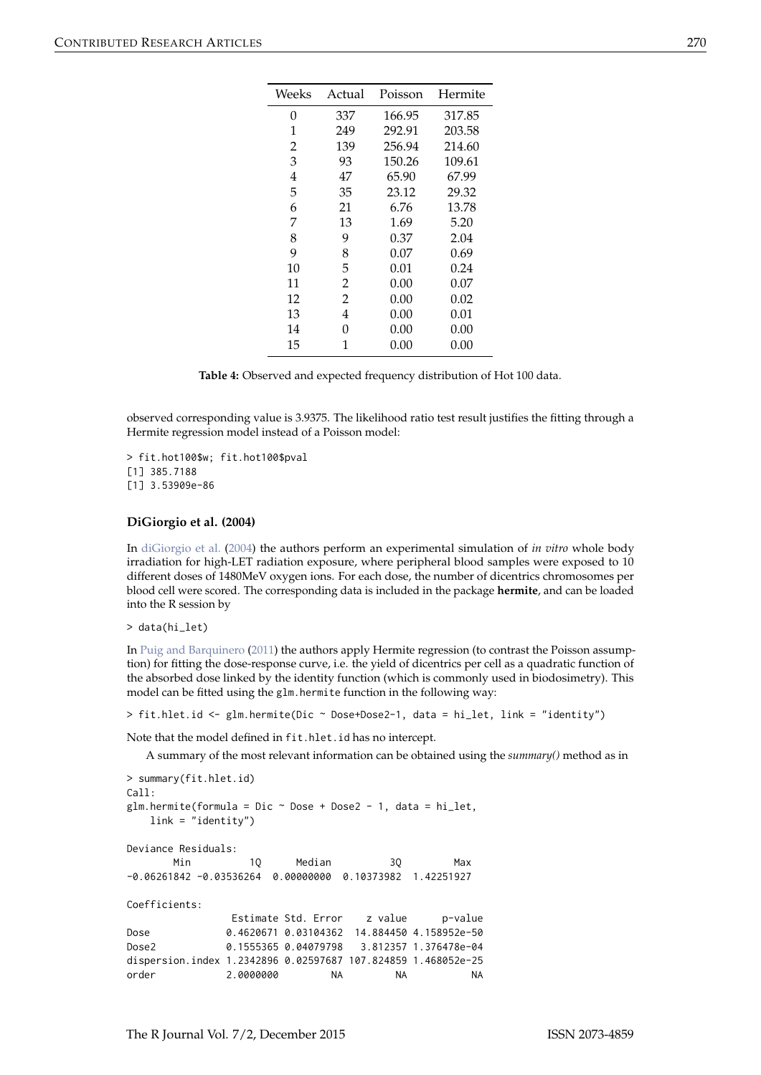<span id="page-7-2"></span><span id="page-7-1"></span>

| Weeks | Actual         | Poisson | Hermite |
|-------|----------------|---------|---------|
| 0     | 337            | 166.95  | 317.85  |
| 1     | 249            | 292.91  | 203.58  |
| 2     | 139            | 256.94  | 214.60  |
| 3     | 93             | 150.26  | 109.61  |
| 4     | 47             | 65.90   | 67.99   |
| 5     | 35             | 23.12   | 29.32   |
| 6     | 21             | 6.76    | 13.78   |
| 7     | 13             | 1.69    | 5.20    |
| 8     | 9              | 0.37    | 2.04    |
| 9     | 8              | 0.07    | 0.69    |
| 10    | 5              | 0.01    | 0.24    |
| 11    | $\overline{2}$ | 0.00    | 0.07    |
| 12    | $\overline{2}$ | 0.00    | 0.02    |
| 13    | 4              | 0.00    | 0.01    |
| 14    | 0              | 0.00    | 0.00    |
| 15    | 1              | 0.00    | 0.00    |

| ۰ |  |  |
|---|--|--|
|   |  |  |
|   |  |  |

**Table 4:** Observed and expected frequency distribution of Hot 100 data.

observed corresponding value is 3.9375. The likelihood ratio test result justifies the fitting through a Hermite regression model instead of a Poisson model:

> fit.hot100\$w; fit.hot100\$pval [1] 385.7188 [1] 3.53909e-86

## <span id="page-7-0"></span>**DiGiorgio et al. (2004)**

In [diGiorgio et al.](#page-10-10) [\(2004\)](#page-10-10) the authors perform an experimental simulation of *in vitro* whole body irradiation for high-LET radiation exposure, where peripheral blood samples were exposed to 10 different doses of 1480MeV oxygen ions. For each dose, the number of dicentrics chromosomes per blood cell were scored. The corresponding data is included in the package **hermite**, and can be loaded into the R session by

> data(hi\_let)

In [Puig and Barquinero](#page-11-8) [\(2011\)](#page-11-8) the authors apply Hermite regression (to contrast the Poisson assumption) for fitting the dose-response curve, i.e. the yield of dicentrics per cell as a quadratic function of the absorbed dose linked by the identity function (which is commonly used in biodosimetry). This model can be fitted using the glm.hermite function in the following way:

> fit.hlet.id <- glm.hermite(Dic ~ Dose+Dose2-1, data = hi\_let, link = "identity")

Note that the model defined in fit.hlet.id has no intercept.

A summary of the most relevant information can be obtained using the *summary()* method as in

```
> summary(fit.hlet.id)
C<sub>a</sub>11.
glm.hermite(formula = Dic \sim Dose + Dose2 - 1, data = hi_let,
   link = "identity")
Deviance Residuals:
      Min 10 Median 30 Max
-0.06261842 -0.03536264 0.00000000 0.10373982 1.42251927
Coefficients:
              Estimate Std. Error z value p-value
Dose 0.4620671 0.03104362 14.884450 4.158952e-50
Dose2 0.1555365 0.04079798 3.812357 1.376478e-04
dispersion.index 1.2342896 0.02597687 107.824859 1.468052e-25
order 2.0000000 NA NA NA
```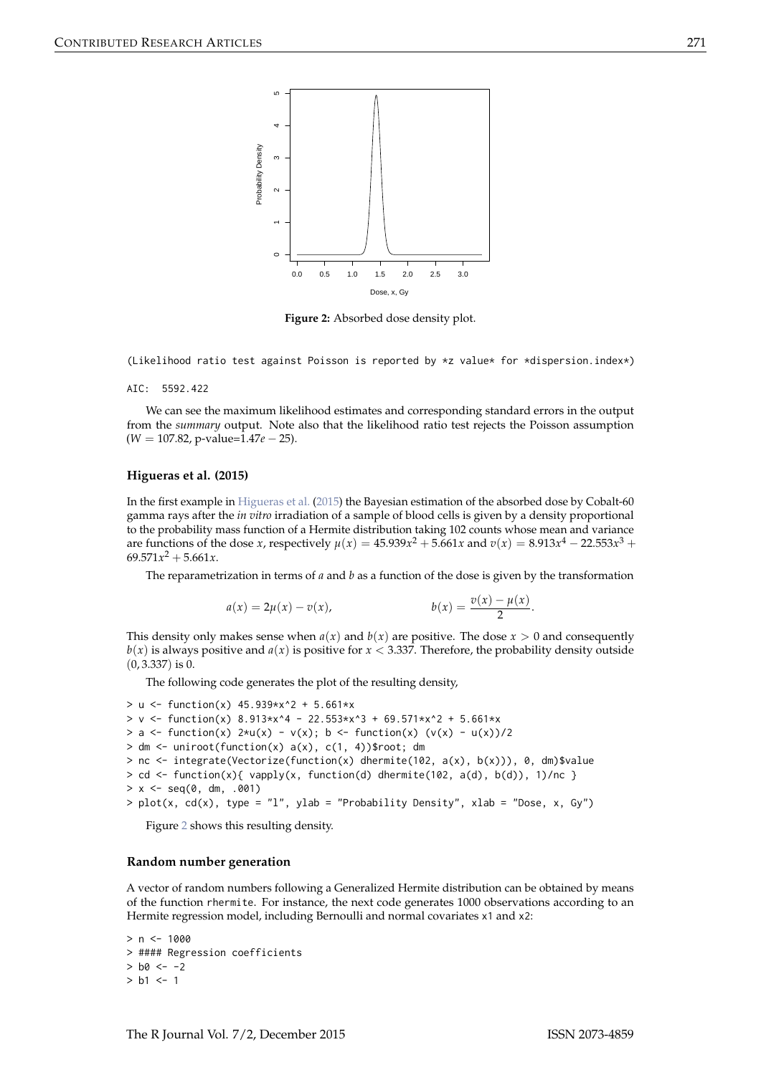<span id="page-8-1"></span><span id="page-8-0"></span>

**Figure 2:** Absorbed dose density plot.

(Likelihood ratio test against Poisson is reported by \*z value\* for \*dispersion.index\*)

#### AIC: 5592.422

We can see the maximum likelihood estimates and corresponding standard errors in the output from the *summary* output. Note also that the likelihood ratio test rejects the Poisson assumption (*W* = 107.82, p-value=1.47*e* − 25).

#### **Higueras et al. (2015)**

In the first example in [Higueras et al.](#page-11-9) [\(2015\)](#page-11-9) the Bayesian estimation of the absorbed dose by Cobalt-60 gamma rays after the *in vitro* irradiation of a sample of blood cells is given by a density proportional to the probability mass function of a Hermite distribution taking 102 counts whose mean and variance are functions of the dose *x*, respectively  $\mu(x) = 45.939x^2 + 5.661x$  and  $v(x) = 8.913x^4 - 22.553x^3 +$  $69.571x^2 + 5.661x$ .

The reparametrization in terms of *a* and *b* as a function of the dose is given by the transformation

$$
a(x) = 2\mu(x) - v(x), \qquad b(x) = \frac{v(x) - \mu(x)}{2}.
$$

This density only makes sense when  $a(x)$  and  $b(x)$  are positive. The dose  $x > 0$  and consequently  $b(x)$  is always positive and  $a(x)$  is positive for  $x < 3.337$ . Therefore, the probability density outside  $(0, 3.337)$  is 0.

The following code generates the plot of the resulting density,

```
> u <- function(x) 45.939*x^2 + 5.661*x> v <- function(x) 8.913*x^4 - 22.553*x^3 + 69.571*x^2 + 5.661*x
> a <- function(x) 2*u(x) - v(x); b <- function(x) (v(x) - u(x))/2
> dm <- uniroot(function(x) a(x), c(1, 4))$root; dm
> nc <- integrate(Vectorize(function(x) dhermite(102, a(x), b(x))), 0, dm)$value
> cd <- function(x){ vapply(x, function(d) dhermite(102, a(d), b(d)), 1)/nc }
> x < - seq(0, dm, .001)
> plot(x, cd(x), type = "1", ylab = "Probability Density", xlab = "Dose, x, Gy")
```
Figure [2](#page-8-0) shows this resulting density.

#### **Random number generation**

A vector of random numbers following a Generalized Hermite distribution can be obtained by means of the function rhermite. For instance, the next code generates 1000 observations according to an Hermite regression model, including Bernoulli and normal covariates x1 and x2:

 $> n < - 1000$ > #### Regression coefficients  $>$  b0 <- -2  $> h1 < -1$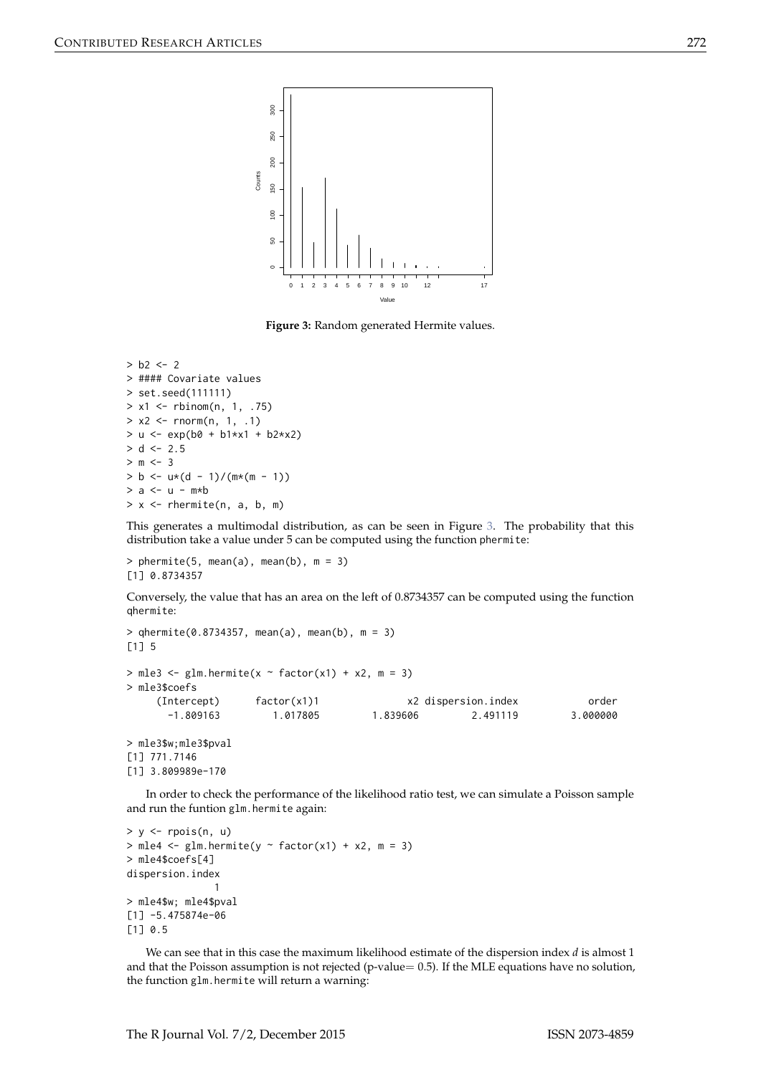<span id="page-9-0"></span>

**Figure 3:** Random generated Hermite values.

```
> b2 < -2> #### Covariate values
> set.seed(111111)
> x1 < - rbinom(n, 1, .75)
> x2 < - rnorm(n, 1, .1)
> u <- exp(b0 + b1*x1 + b2*x2)
> d < -2.5> m < - 3> b \leq u * (d - 1) / (m * (m - 1))> a < -u - m*b> x < - rhermite(n, a, b, m)
```
This generates a multimodal distribution, as can be seen in Figure [3.](#page-9-0) The probability that this distribution take a value under 5 can be computed using the function phermite:

 $>$  phermite(5, mean(a), mean(b), m = 3) [1] 0.8734357

Conversely, the value that has an area on the left of 0.8734357 can be computed using the function qhermite:

```
> qhermite(0.8734357, mean(a), mean(b), m = 3)
[1] 5
> mle3 <- glm.hermite(x \sim factor(x1) + x2, m = 3)
> mle3$coefs
    (Intercept) factor(x1)1 x2 dispersion.index order
      -1.809163 1.017805 1.839606 2.491119 3.000000
> mle3$w;mle3$pval
[1] 771.7146
[1] 3.809989e-170
```
In order to check the performance of the likelihood ratio test, we can simulate a Poisson sample and run the funtion glm.hermite again:

```
> y < - rpois(n, u)
> mle4 < -glm.hermite(y \sim factor(x1) + x2, m = 3)
> mle4$coefs[4]
dispersion.index
               1
> mle4$w; mle4$pval
[1] -5.475874e-06
[1] 0.5
```
We can see that in this case the maximum likelihood estimate of the dispersion index *d* is almost 1 and that the Poisson assumption is not rejected (p-value=  $0.5$ ). If the MLE equations have no solution, the function glm.hermite will return a warning: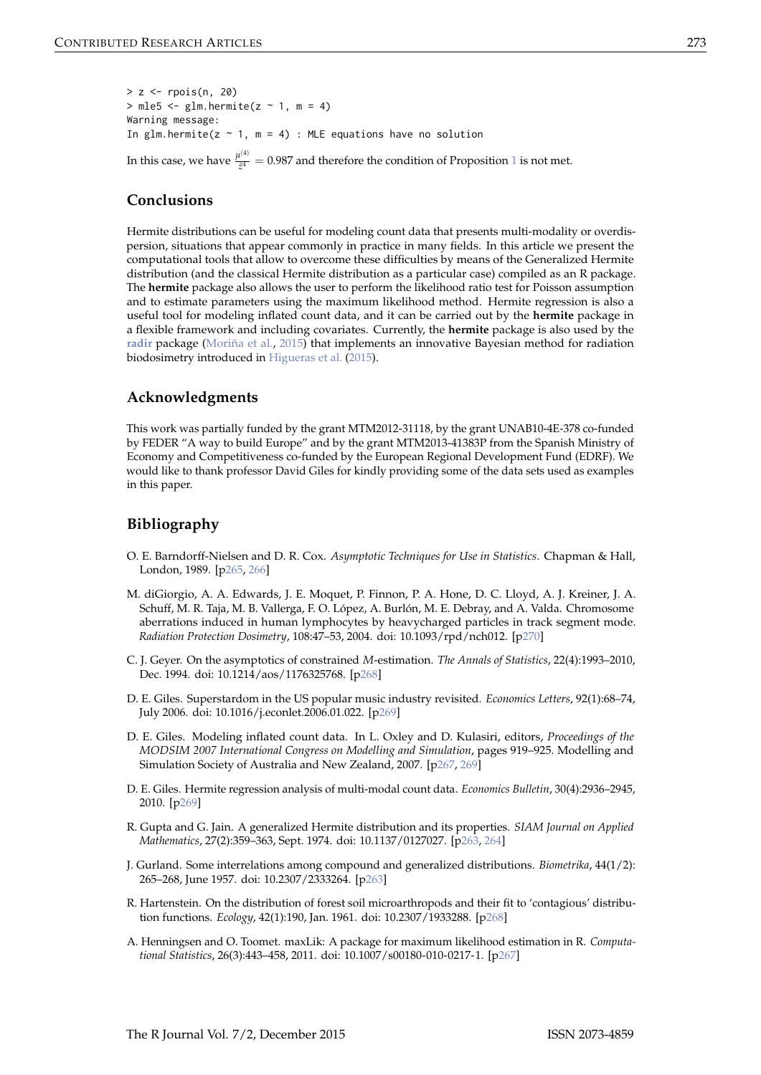<span id="page-10-11"></span> $> z <$ - rpois(n, 20)  $>$  mle5  $<-$  glm.hermite( $z$   $\sim$  1, m = 4) Warning message: In glm.hermite( $z \sim 1$ , m = 4) : MLE equations have no solution

<span id="page-10-2"></span>In this case, we have  $\frac{\mu^{(4)}}{\bar{z}^4}$  $\frac{V}{\bar{z}^4}$  = 0.987 and therefore the condition of Proposition [1](#page-3-1) is not met.

# **Conclusions**

Hermite distributions can be useful for modeling count data that presents multi-modality or overdispersion, situations that appear commonly in practice in many fields. In this article we present the computational tools that allow to overcome these difficulties by means of the Generalized Hermite distribution (and the classical Hermite distribution as a particular case) compiled as an R package. The **hermite** package also allows the user to perform the likelihood ratio test for Poisson assumption and to estimate parameters using the maximum likelihood method. Hermite regression is also a useful tool for modeling inflated count data, and it can be carried out by the **hermite** package in a flexible framework and including covariates. Currently, the **hermite** package is also used by the **[radir](https://CRAN.R-project.org/package=radir)** package [\(Moriña et al.,](#page-11-10) [2015\)](#page-11-10) that implements an innovative Bayesian method for radiation biodosimetry introduced in [Higueras et al.](#page-11-9) [\(2015\)](#page-11-9).

# **Acknowledgments**

This work was partially funded by the grant MTM2012-31118, by the grant UNAB10-4E-378 co-funded by FEDER "A way to build Europe" and by the grant MTM2013-41383P from the Spanish Ministry of Economy and Competitiveness co-funded by the European Regional Development Fund (EDRF). We would like to thank professor David Giles for kindly providing some of the data sets used as examples in this paper.

# **Bibliography**

- <span id="page-10-3"></span>O. E. Barndorff-Nielsen and D. R. Cox. *Asymptotic Techniques for Use in Statistics*. Chapman & Hall, London, 1989. [[p265,](#page-2-1) [266\]](#page-3-2)
- <span id="page-10-10"></span>M. diGiorgio, A. A. Edwards, J. E. Moquet, P. Finnon, P. A. Hone, D. C. Lloyd, A. J. Kreiner, J. A. Schuff, M. R. Taja, M. B. Vallerga, F. O. López, A. Burlón, M. E. Debray, and A. Valda. Chromosome aberrations induced in human lymphocytes by heavycharged particles in track segment mode. *Radiation Protection Dosimetry*, 108:47–53, 2004. doi: 10.1093/rpd/nch012. [[p270\]](#page-7-2)
- <span id="page-10-6"></span>C. J. Geyer. On the asymptotics of constrained *M*-estimation. *The Annals of Statistics*, 22(4):1993–2010, Dec. 1994. doi: 10.1214/aos/1176325768. [[p268\]](#page-5-3)
- <span id="page-10-9"></span>D. E. Giles. Superstardom in the US popular music industry revisited. *Economics Letters*, 92(1):68–74, July 2006. doi: 10.1016/j.econlet.2006.01.022. [[p269\]](#page-6-2)
- <span id="page-10-4"></span>D. E. Giles. Modeling inflated count data. In L. Oxley and D. Kulasiri, editors, *Proceedings of the MODSIM 2007 International Congress on Modelling and Simulation*, pages 919–925. Modelling and Simulation Society of Australia and New Zealand, 2007. [[p267,](#page-4-0) [269\]](#page-6-2)
- <span id="page-10-8"></span>D. E. Giles. Hermite regression analysis of multi-modal count data. *Economics Bulletin*, 30(4):2936–2945, 2010. [[p269\]](#page-6-2)
- <span id="page-10-1"></span>R. Gupta and G. Jain. A generalized Hermite distribution and its properties. *SIAM Journal on Applied Mathematics*, 27(2):359–363, Sept. 1974. doi: 10.1137/0127027. [[p263,](#page-0-4) [264\]](#page-1-4)
- <span id="page-10-0"></span>J. Gurland. Some interrelations among compound and generalized distributions. *Biometrika*, 44(1/2): 265–268, June 1957. doi: 10.2307/2333264. [[p263\]](#page-0-4)
- <span id="page-10-7"></span>R. Hartenstein. On the distribution of forest soil microarthropods and their fit to 'contagious' distribution functions. *Ecology*, 42(1):190, Jan. 1961. doi: 10.2307/1933288. [[p268\]](#page-5-3)
- <span id="page-10-5"></span>A. Henningsen and O. Toomet. maxLik: A package for maximum likelihood estimation in R. *Computational Statistics*, 26(3):443–458, 2011. doi: 10.1007/s00180-010-0217-1. [[p267\]](#page-4-0)